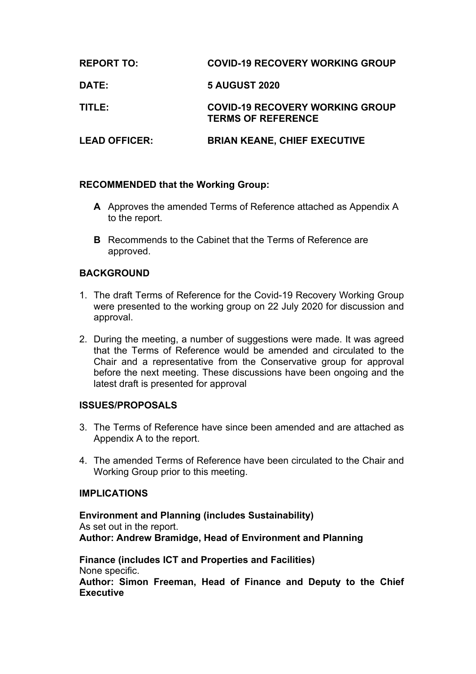| <b>REPORT TO:</b>    | <b>COVID-19 RECOVERY WORKING GROUP</b>                              |
|----------------------|---------------------------------------------------------------------|
| <b>DATE:</b>         | <b>5 AUGUST 2020</b>                                                |
| TITLE:               | <b>COVID-19 RECOVERY WORKING GROUP</b><br><b>TERMS OF REFERENCE</b> |
| <b>LEAD OFFICER:</b> | <b>BRIAN KEANE, CHIEF EXECUTIVE</b>                                 |

# **RECOMMENDED that the Working Group:**

- **A** Approves the amended Terms of Reference attached as Appendix A to the report.
- **B** Recommends to the Cabinet that the Terms of Reference are approved.

## **BACKGROUND**

- 1. The draft Terms of Reference for the Covid-19 Recovery Working Group were presented to the working group on 22 July 2020 for discussion and approval.
- 2. During the meeting, a number of suggestions were made. It was agreed that the Terms of Reference would be amended and circulated to the Chair and a representative from the Conservative group for approval before the next meeting. These discussions have been ongoing and the latest draft is presented for approval

## **ISSUES/PROPOSALS**

- 3. The Terms of Reference have since been amended and are attached as Appendix A to the report.
- 4. The amended Terms of Reference have been circulated to the Chair and Working Group prior to this meeting.

#### **IMPLICATIONS**

**Environment and Planning (includes Sustainability)** As set out in the report. **Author: Andrew Bramidge, Head of Environment and Planning**

**Finance (includes ICT and Properties and Facilities)** None specific. **Author: Simon Freeman, Head of Finance and Deputy to the Chief Executive**